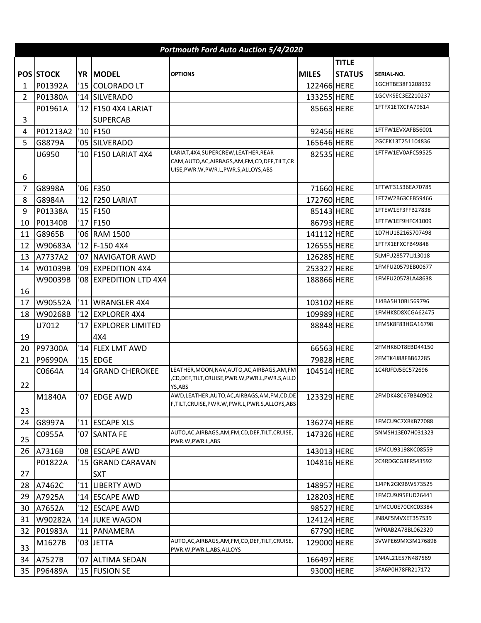|                | Portmouth Ford Auto Auction 5/4/2020 |                |                         |                                                                                                                  |              |               |                   |  |  |  |
|----------------|--------------------------------------|----------------|-------------------------|------------------------------------------------------------------------------------------------------------------|--------------|---------------|-------------------|--|--|--|
|                |                                      |                |                         |                                                                                                                  |              | <b>TITLE</b>  |                   |  |  |  |
|                | <b>POS STOCK</b>                     |                | YR MODEL                | <b>OPTIONS</b>                                                                                                   | <b>MILES</b> | <b>STATUS</b> | SERIAL NO.        |  |  |  |
| 1              | P01392A                              |                | '15 COLORADO LT         |                                                                                                                  | 122466 HERE  |               | 1GCHTBE38F1208932 |  |  |  |
| $\overline{2}$ | P01380A                              |                | '14 SILVERADO           |                                                                                                                  | 133255 HERE  |               | 1GCVKSEC3EZ210237 |  |  |  |
|                | P01961A                              |                | '12 F150 4X4 LARIAT     |                                                                                                                  | 85663 HERE   |               | 1FTFX1ETXCFA79614 |  |  |  |
| 3              |                                      |                | <b>SUPERCAB</b>         |                                                                                                                  |              |               |                   |  |  |  |
| 4              | P01213A2                             |                | '10 F150                |                                                                                                                  | 92456 HERE   |               | 1FTFW1EVXAFB56001 |  |  |  |
| 5              | G8879A                               |                | '05 SILVERADO           |                                                                                                                  | 165646 HERE  |               | 2GCEK13T251104836 |  |  |  |
|                | U6950                                |                | '10 F150 LARIAT 4X4     | LARIAT, 4X4, SUPERCREW, LEATHER, REAR<br>CAM, AUTO, AC, AIRBAGS, AM, FM, CD, DEF, TILT, CR                       | 82535 HERE   |               | 1FTFW1EV0AFC59525 |  |  |  |
| 6              |                                      |                |                         | UISE,PWR.W,PWR.L,PWR.S,ALLOYS,ABS                                                                                |              |               |                   |  |  |  |
| 7              | G8998A                               |                | '06 F350                |                                                                                                                  | 71660 HERE   |               | 1FTWF31536EA70785 |  |  |  |
| 8              | G8984A                               | 12             | <b>F250 LARIAT</b>      |                                                                                                                  | 172760 HERE  |               | 1FT7W2B63CEB59466 |  |  |  |
| 9              | P01338A                              |                | '15 F150                |                                                                                                                  | 85143 HERE   |               | 1FTEW1EF3FFB27838 |  |  |  |
| 10             | P01340B                              | '17            | F150                    |                                                                                                                  | 86793 HERE   |               | 1FTFW1EF9HFC41009 |  |  |  |
| 11             | G8965B                               | '06 '          | <b>RAM 1500</b>         |                                                                                                                  | 141112 HERE  |               | 1D7HU18216S707498 |  |  |  |
| 12             | W90683A                              |                | '12 F-150 4X4           |                                                                                                                  | 126555 HERE  |               | 1FTFX1EFXCFB49848 |  |  |  |
| 13             | A7737A2                              | '07            | <b>NAVIGATOR AWD</b>    |                                                                                                                  | 126285 HERE  |               | 5LMFU28577LJ13018 |  |  |  |
| 14             | W01039B                              | '09            | <b>EXPEDITION 4X4</b>   |                                                                                                                  | 253327 HERE  |               | 1FMFU20579EB00677 |  |  |  |
|                | W90039B                              |                | '08 EXPEDITION LTD 4X4  |                                                                                                                  | 188866 HERE  |               | 1FMFU20578LA48638 |  |  |  |
| 16             |                                      |                |                         |                                                                                                                  |              |               |                   |  |  |  |
| 17             | W90552A                              |                | '11 WRANGLER 4X4        |                                                                                                                  | 103102 HERE  |               | 1J4BA5H10BL569796 |  |  |  |
| 18             | W90268B                              |                | '12 EXPLORER 4X4        |                                                                                                                  | 109989 HERE  |               | 1FMHK8D8XCGA62475 |  |  |  |
|                | U7012                                | '17            | <b>EXPLORER LIMITED</b> |                                                                                                                  | 88848 HERE   |               | 1FM5K8F83HGA16798 |  |  |  |
| 19             |                                      |                | 4X4                     |                                                                                                                  |              |               |                   |  |  |  |
| 20             | P97300A                              |                | '14 FLEX LMT AWD        |                                                                                                                  | 66563 HERE   |               | 2FMHK6DT8EBD44150 |  |  |  |
| 21             | P96990A                              |                | '15 $ EDGE$             |                                                                                                                  | 79828 HERE   |               | 2FMTK4J88FBB62285 |  |  |  |
| 22             | C0664A                               | $^{\prime}$ 14 | <b>GRAND CHEROKEE</b>   | LEATHER, MOON, NAV, AUTO, AC, AIRBAGS, AM, FM<br>CD, DEF, TILT, CRUISE, PWR. W, PWR. L, PWR. S, ALLO,<br>YS, ABS | 104514 HERE  |               | 1C4RJFDJ5EC572696 |  |  |  |
| 23             | M1840A                               |                | '07 EDGE AWD            | AWD, LEATHER, AUTO, AC, AIRBAGS, AM, FM, CD, DE<br>F,TILT,CRUISE,PWR.W,PWR.L,PWR.S,ALLOYS,ABS                    | 123329 HERE  |               | 2FMDK48C67BB40902 |  |  |  |
| 24             | G8997A                               |                | '11 ESCAPE XLS          |                                                                                                                  | 136274 HERE  |               | 1FMCU9C7XBKB77088 |  |  |  |
| 25             | C0955A                               |                | '07 SANTA FE            | AUTO, AC, AIRBAGS, AM, FM, CD, DEF, TILT, CRUISE,<br>PWR.W, PWR.L, ABS                                           | 147326 HERE  |               | 5NMSH13E07H031323 |  |  |  |
| 26             | A7316B                               |                | '08 ESCAPE AWD          |                                                                                                                  | 143013 HERE  |               | 1FMCU93198KC08559 |  |  |  |
|                | P01822A                              |                | '15 GRAND CARAVAN       |                                                                                                                  | 104816 HERE  |               | 2C4RDGCG8FR543592 |  |  |  |
| 27             |                                      |                | <b>SXT</b>              |                                                                                                                  |              |               |                   |  |  |  |
| 28             | A7462C                               | '11            | <b>LIBERTY AWD</b>      |                                                                                                                  | 148957 HERE  |               | 1J4PN2GK9BW573525 |  |  |  |
| 29             | A7925A                               |                | '14 ESCAPE AWD          |                                                                                                                  | 128203 HERE  |               | 1FMCU9J95EUD26441 |  |  |  |
| 30             | A7652A                               |                | '12 ESCAPE AWD          |                                                                                                                  | 98527 HERE   |               | 1FMCU0E70CKC03384 |  |  |  |
| 31             | W90282A                              |                | '14 JUKE WAGON          |                                                                                                                  | 124124 HERE  |               | JN8AF5MVXET357539 |  |  |  |
| 32             | P01983A                              | '11            | PANAMERA                |                                                                                                                  | 67790 HERE   |               | WP0AB2A78BL062320 |  |  |  |
| 33             | M1627B                               |                | '03 JETTA               | AUTO, AC, AIRBAGS, AM, FM, CD, DEF, TILT, CRUISE,<br>PWR.W, PWR.L, ABS, ALLOYS                                   | 129000 HERE  |               | 3VWPE69MX3M176898 |  |  |  |
| 34             | A7527B                               | '07            | <b>ALTIMA SEDAN</b>     |                                                                                                                  | 166497 HERE  |               | 1N4AL21E57N487569 |  |  |  |
| 35             | P96489A                              |                | '15 FUSION SE           |                                                                                                                  | 93000 HERE   |               | 3FA6P0H78FR217172 |  |  |  |